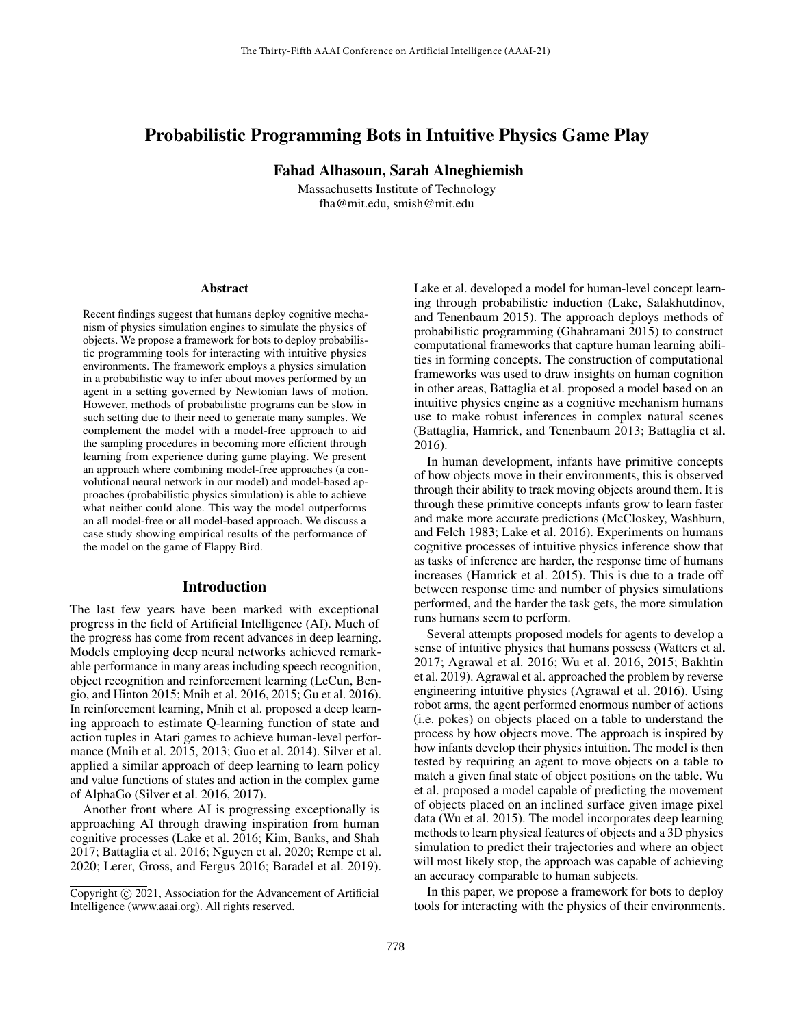# Probabilistic Programming Bots in Intuitive Physics Game Play

Fahad Alhasoun, Sarah Alneghiemish

Massachusetts Institute of Technology fha@mit.edu, smish@mit.edu

#### Abstract

Recent findings suggest that humans deploy cognitive mechanism of physics simulation engines to simulate the physics of objects. We propose a framework for bots to deploy probabilistic programming tools for interacting with intuitive physics environments. The framework employs a physics simulation in a probabilistic way to infer about moves performed by an agent in a setting governed by Newtonian laws of motion. However, methods of probabilistic programs can be slow in such setting due to their need to generate many samples. We complement the model with a model-free approach to aid the sampling procedures in becoming more efficient through learning from experience during game playing. We present an approach where combining model-free approaches (a convolutional neural network in our model) and model-based approaches (probabilistic physics simulation) is able to achieve what neither could alone. This way the model outperforms an all model-free or all model-based approach. We discuss a case study showing empirical results of the performance of the model on the game of Flappy Bird.

# Introduction

The last few years have been marked with exceptional progress in the field of Artificial Intelligence (AI). Much of the progress has come from recent advances in deep learning. Models employing deep neural networks achieved remarkable performance in many areas including speech recognition, object recognition and reinforcement learning (LeCun, Bengio, and Hinton 2015; Mnih et al. 2016, 2015; Gu et al. 2016). In reinforcement learning, Mnih et al. proposed a deep learning approach to estimate Q-learning function of state and action tuples in Atari games to achieve human-level performance (Mnih et al. 2015, 2013; Guo et al. 2014). Silver et al. applied a similar approach of deep learning to learn policy and value functions of states and action in the complex game of AlphaGo (Silver et al. 2016, 2017).

Another front where AI is progressing exceptionally is approaching AI through drawing inspiration from human cognitive processes (Lake et al. 2016; Kim, Banks, and Shah 2017; Battaglia et al. 2016; Nguyen et al. 2020; Rempe et al. 2020; Lerer, Gross, and Fergus 2016; Baradel et al. 2019).

Lake et al. developed a model for human-level concept learning through probabilistic induction (Lake, Salakhutdinov, and Tenenbaum 2015). The approach deploys methods of probabilistic programming (Ghahramani 2015) to construct computational frameworks that capture human learning abilities in forming concepts. The construction of computational frameworks was used to draw insights on human cognition in other areas, Battaglia et al. proposed a model based on an intuitive physics engine as a cognitive mechanism humans use to make robust inferences in complex natural scenes (Battaglia, Hamrick, and Tenenbaum 2013; Battaglia et al. 2016).

In human development, infants have primitive concepts of how objects move in their environments, this is observed through their ability to track moving objects around them. It is through these primitive concepts infants grow to learn faster and make more accurate predictions (McCloskey, Washburn, and Felch 1983; Lake et al. 2016). Experiments on humans cognitive processes of intuitive physics inference show that as tasks of inference are harder, the response time of humans increases (Hamrick et al. 2015). This is due to a trade off between response time and number of physics simulations performed, and the harder the task gets, the more simulation runs humans seem to perform.

Several attempts proposed models for agents to develop a sense of intuitive physics that humans possess (Watters et al. 2017; Agrawal et al. 2016; Wu et al. 2016, 2015; Bakhtin et al. 2019). Agrawal et al. approached the problem by reverse engineering intuitive physics (Agrawal et al. 2016). Using robot arms, the agent performed enormous number of actions (i.e. pokes) on objects placed on a table to understand the process by how objects move. The approach is inspired by how infants develop their physics intuition. The model is then tested by requiring an agent to move objects on a table to match a given final state of object positions on the table. Wu et al. proposed a model capable of predicting the movement of objects placed on an inclined surface given image pixel data (Wu et al. 2015). The model incorporates deep learning methods to learn physical features of objects and a 3D physics simulation to predict their trajectories and where an object will most likely stop, the approach was capable of achieving an accuracy comparable to human subjects.

In this paper, we propose a framework for bots to deploy tools for interacting with the physics of their environments.

Copyright © 2021, Association for the Advancement of Artificial Intelligence (www.aaai.org). All rights reserved.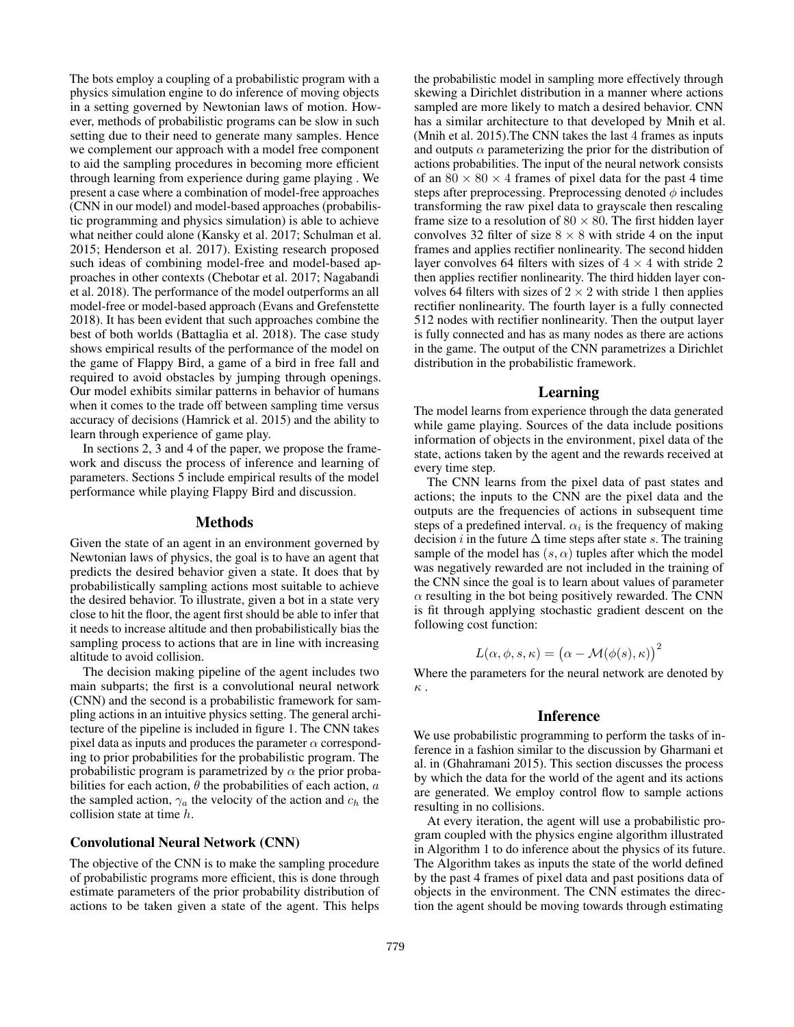The bots employ a coupling of a probabilistic program with a physics simulation engine to do inference of moving objects in a setting governed by Newtonian laws of motion. However, methods of probabilistic programs can be slow in such setting due to their need to generate many samples. Hence we complement our approach with a model free component to aid the sampling procedures in becoming more efficient through learning from experience during game playing . We present a case where a combination of model-free approaches (CNN in our model) and model-based approaches (probabilistic programming and physics simulation) is able to achieve what neither could alone (Kansky et al. 2017; Schulman et al. 2015; Henderson et al. 2017). Existing research proposed such ideas of combining model-free and model-based approaches in other contexts (Chebotar et al. 2017; Nagabandi et al. 2018). The performance of the model outperforms an all model-free or model-based approach (Evans and Grefenstette 2018). It has been evident that such approaches combine the best of both worlds (Battaglia et al. 2018). The case study shows empirical results of the performance of the model on the game of Flappy Bird, a game of a bird in free fall and required to avoid obstacles by jumping through openings. Our model exhibits similar patterns in behavior of humans when it comes to the trade off between sampling time versus accuracy of decisions (Hamrick et al. 2015) and the ability to learn through experience of game play.

In sections 2, 3 and 4 of the paper, we propose the framework and discuss the process of inference and learning of parameters. Sections 5 include empirical results of the model performance while playing Flappy Bird and discussion.

### Methods

Given the state of an agent in an environment governed by Newtonian laws of physics, the goal is to have an agent that predicts the desired behavior given a state. It does that by probabilistically sampling actions most suitable to achieve the desired behavior. To illustrate, given a bot in a state very close to hit the floor, the agent first should be able to infer that it needs to increase altitude and then probabilistically bias the sampling process to actions that are in line with increasing altitude to avoid collision.

The decision making pipeline of the agent includes two main subparts; the first is a convolutional neural network (CNN) and the second is a probabilistic framework for sampling actions in an intuitive physics setting. The general architecture of the pipeline is included in figure 1. The CNN takes pixel data as inputs and produces the parameter  $\alpha$  corresponding to prior probabilities for the probabilistic program. The probabilistic program is parametrized by  $\alpha$  the prior probabilities for each action,  $\theta$  the probabilities of each action,  $a$ the sampled action,  $\gamma_a$  the velocity of the action and  $c_h$  the collision state at time h.

#### Convolutional Neural Network (CNN)

The objective of the CNN is to make the sampling procedure of probabilistic programs more efficient, this is done through estimate parameters of the prior probability distribution of actions to be taken given a state of the agent. This helps

the probabilistic model in sampling more effectively through skewing a Dirichlet distribution in a manner where actions sampled are more likely to match a desired behavior. CNN has a similar architecture to that developed by Mnih et al. (Mnih et al. 2015).The CNN takes the last 4 frames as inputs and outputs  $\alpha$  parameterizing the prior for the distribution of actions probabilities. The input of the neural network consists of an  $80 \times 80 \times 4$  frames of pixel data for the past 4 time steps after preprocessing. Preprocessing denoted  $\phi$  includes transforming the raw pixel data to grayscale then rescaling frame size to a resolution of  $80 \times 80$ . The first hidden layer convolves 32 filter of size  $8 \times 8$  with stride 4 on the input frames and applies rectifier nonlinearity. The second hidden layer convolves 64 filters with sizes of  $4 \times 4$  with stride 2 then applies rectifier nonlinearity. The third hidden layer convolves 64 filters with sizes of  $2 \times 2$  with stride 1 then applies rectifier nonlinearity. The fourth layer is a fully connected 512 nodes with rectifier nonlinearity. Then the output layer is fully connected and has as many nodes as there are actions in the game. The output of the CNN parametrizes a Dirichlet distribution in the probabilistic framework.

# Learning

The model learns from experience through the data generated while game playing. Sources of the data include positions information of objects in the environment, pixel data of the state, actions taken by the agent and the rewards received at every time step.

The CNN learns from the pixel data of past states and actions; the inputs to the CNN are the pixel data and the outputs are the frequencies of actions in subsequent time steps of a predefined interval.  $\alpha_i$  is the frequency of making decision *i* in the future  $\Delta$  time steps after state *s*. The training sample of the model has  $(s, \alpha)$  tuples after which the model was negatively rewarded are not included in the training of the CNN since the goal is to learn about values of parameter  $\alpha$  resulting in the bot being positively rewarded. The CNN is fit through applying stochastic gradient descent on the following cost function:

$$
L(\alpha, \phi, s, \kappa) = (\alpha - \mathcal{M}(\phi(s), \kappa))^{2}
$$

Where the parameters for the neural network are denoted by κ .

# Inference

We use probabilistic programming to perform the tasks of inference in a fashion similar to the discussion by Gharmani et al. in (Ghahramani 2015). This section discusses the process by which the data for the world of the agent and its actions are generated. We employ control flow to sample actions resulting in no collisions.

At every iteration, the agent will use a probabilistic program coupled with the physics engine algorithm illustrated in Algorithm 1 to do inference about the physics of its future. The Algorithm takes as inputs the state of the world defined by the past 4 frames of pixel data and past positions data of objects in the environment. The CNN estimates the direction the agent should be moving towards through estimating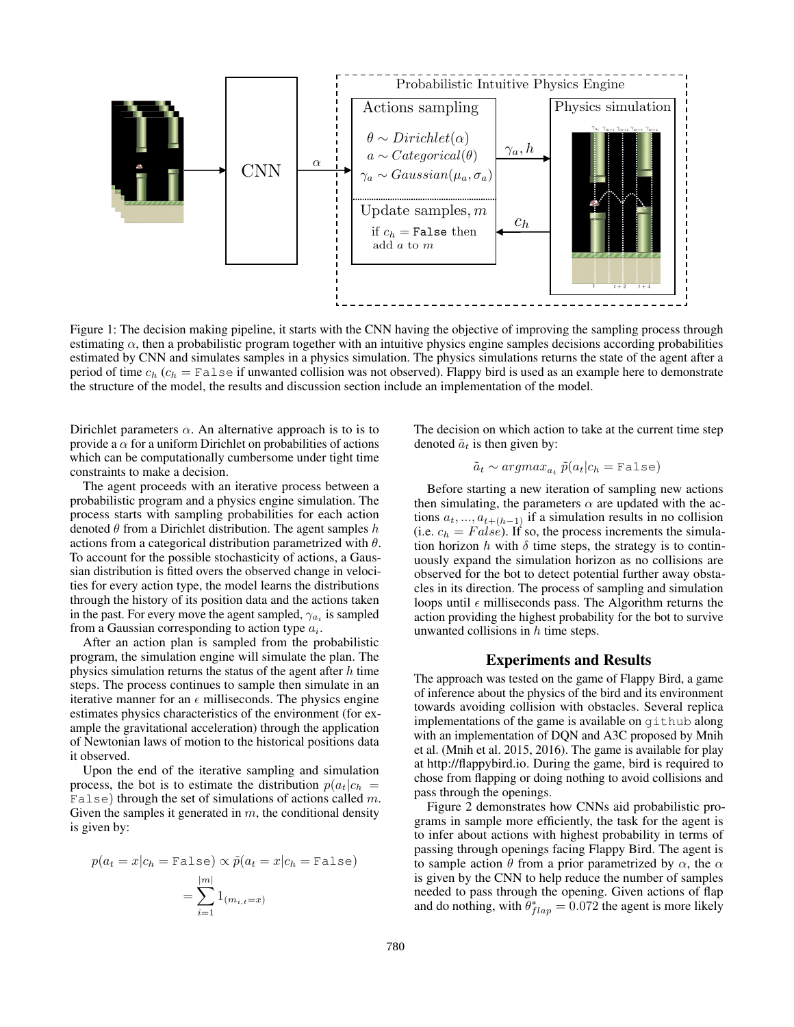

Figure 1: The decision making pipeline, it starts with the CNN having the objective of improving the sampling process through estimating  $\alpha$ , then a probabilistic program together with an intuitive physics engine samples decisions according probabilities estimated by CNN and simulates samples in a physics simulation. The physics simulations returns the state of the agent after a period of time  $c_h$  ( $c_h$  = False if unwanted collision was not observed). Flappy bird is used as an example here to demonstrate the structure of the model, the results and discussion section include an implementation of the model.

Dirichlet parameters  $\alpha$ . An alternative approach is to is to provide a  $\alpha$  for a uniform Dirichlet on probabilities of actions which can be computationally cumbersome under tight time constraints to make a decision.

The agent proceeds with an iterative process between a probabilistic program and a physics engine simulation. The process starts with sampling probabilities for each action denoted  $\theta$  from a Dirichlet distribution. The agent samples  $h$ actions from a categorical distribution parametrized with  $\theta$ . To account for the possible stochasticity of actions, a Gaussian distribution is fitted overs the observed change in velocities for every action type, the model learns the distributions through the history of its position data and the actions taken in the past. For every move the agent sampled,  $\gamma_{a_i}$  is sampled from a Gaussian corresponding to action type  $a_i$ .

After an action plan is sampled from the probabilistic program, the simulation engine will simulate the plan. The physics simulation returns the status of the agent after  $h$  time steps. The process continues to sample then simulate in an iterative manner for an  $\epsilon$  milliseconds. The physics engine estimates physics characteristics of the environment (for example the gravitational acceleration) through the application of Newtonian laws of motion to the historical positions data it observed.

Upon the end of the iterative sampling and simulation process, the bot is to estimate the distribution  $p(a_t|c_h)$ False) through the set of simulations of actions called  $m$ . Given the samples it generated in  $m$ , the conditional density is given by:

$$
p(a_t = x | c_h = \text{False}) \propto \tilde{p}(a_t = x | c_h = \text{False})
$$

$$
= \sum_{i=1}^{|m|} 1_{(m_{i,t} = x)}
$$

The decision on which action to take at the current time step denoted  $\tilde{a}_t$  is then given by:

$$
\tilde{a}_t \sim argmax_{a_t} \tilde{p}(a_t | c_h = \text{False})
$$

Before starting a new iteration of sampling new actions then simulating, the parameters  $\alpha$  are updated with the actions  $a_t, ..., a_{t+(h-1)}$  if a simulation results in no collision (i.e.  $c_h = False$ ). If so, the process increments the simulation horizon h with  $\delta$  time steps, the strategy is to continuously expand the simulation horizon as no collisions are observed for the bot to detect potential further away obstacles in its direction. The process of sampling and simulation loops until  $\epsilon$  milliseconds pass. The Algorithm returns the action providing the highest probability for the bot to survive unwanted collisions in  $h$  time steps.

#### Experiments and Results

The approach was tested on the game of Flappy Bird, a game of inference about the physics of the bird and its environment towards avoiding collision with obstacles. Several replica implementations of the game is available on github along with an implementation of DQN and A3C proposed by Mnih et al. (Mnih et al. 2015, 2016). The game is available for play at http://flappybird.io. During the game, bird is required to chose from flapping or doing nothing to avoid collisions and pass through the openings.

Figure 2 demonstrates how CNNs aid probabilistic programs in sample more efficiently, the task for the agent is to infer about actions with highest probability in terms of passing through openings facing Flappy Bird. The agent is to sample action  $\theta$  from a prior parametrized by  $\alpha$ , the  $\alpha$ is given by the CNN to help reduce the number of samples needed to pass through the opening. Given actions of flap and do nothing, with  $\theta_{flap}^* = 0.072$  the agent is more likely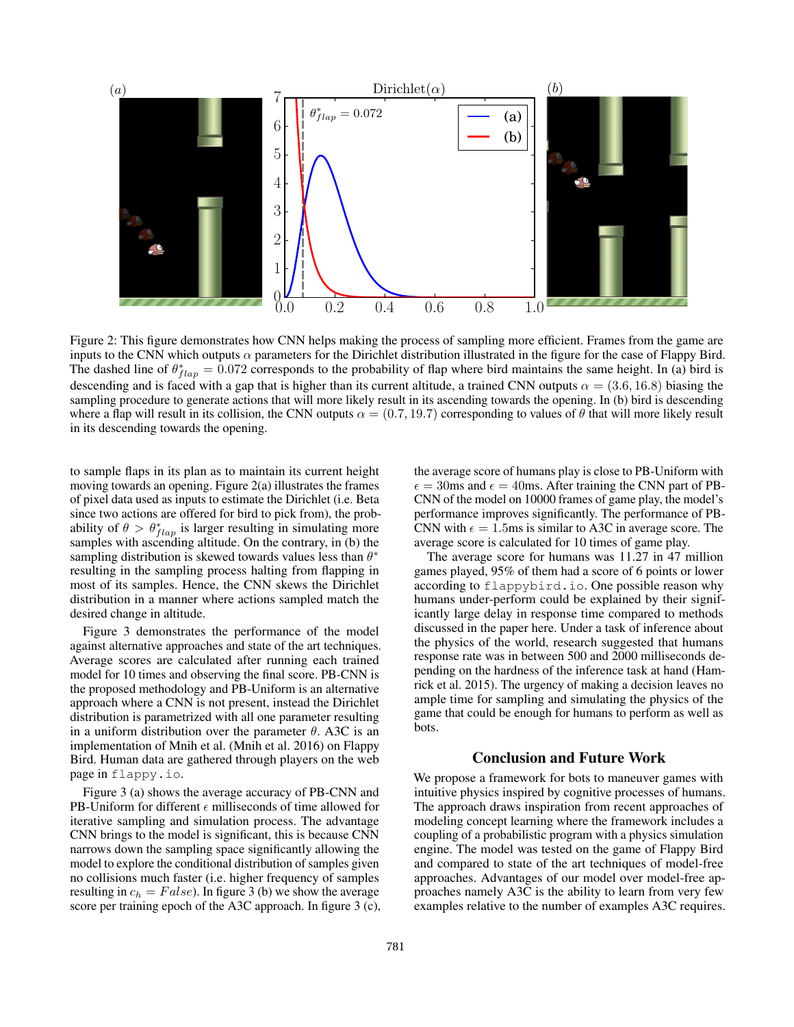

Figure 2: This figure demonstrates how CNN helps making the process of sampling more efficient. Frames from the game are inputs to the CNN which outputs  $\alpha$  parameters for the Dirichlet distribution illustrated in the figure for the case of Flappy Bird. The dashed line of  $\theta_{flap}^* = 0.072$  corresponds to the probability of flap where bird maintains the same height. In (a) bird is descending and is faced with a gap that is higher than its current altitude, a trained CNN outputs  $\alpha = (3.6, 16.8)$  biasing the sampling procedure to generate actions that will more likely result in its ascending towards the opening. In (b) bird is descending where a flap will result in its collision, the CNN outputs  $\alpha = (0.7, 19.7)$  corresponding to values of  $\theta$  that will more likely result in its descending towards the opening.

to sample flaps in its plan as to maintain its current height moving towards an opening. Figure  $2(a)$  illustrates the frames of pixel data used as inputs to estimate the Dirichlet (i.e. Beta since two actions are offered for bird to pick from), the probability of  $\theta > \theta_{flap}^*$  is larger resulting in simulating more samples with ascending altitude. On the contrary, in (b) the sampling distribution is skewed towards values less than  $\theta^*$ resulting in the sampling process halting from flapping in most of its samples. Hence, the CNN skews the Dirichlet distribution in a manner where actions sampled match the desired change in altitude.

Figure 3 demonstrates the performance of the model against alternative approaches and state of the art techniques. Average scores are calculated after running each trained model for 10 times and observing the final score. PB-CNN is the proposed methodology and PB-Uniform is an alternative approach where a CNN is not present, instead the Dirichlet distribution is parametrized with all one parameter resulting in a uniform distribution over the parameter  $\theta$ . A3C is an implementation of Mnih et al. (Mnih et al. 2016) on Flappy Bird. Human data are gathered through players on the web page in flappy.io.

Figure 3 (a) shows the average accuracy of PB-CNN and PB-Uniform for different  $\epsilon$  milliseconds of time allowed for iterative sampling and simulation process. The advantage CNN brings to the model is significant, this is because CNN narrows down the sampling space significantly allowing the model to explore the conditional distribution of samples given no collisions much faster (i.e. higher frequency of samples resulting in  $c_h = False$ ). In figure 3 (b) we show the average score per training epoch of the A3C approach. In figure 3 (c), the average score of humans play is close to PB-Uniform with  $\epsilon = 30$ ms and  $\epsilon = 40$ ms. After training the CNN part of PB-CNN of the model on 10000 frames of game play, the model's performance improves significantly. The performance of PB-CNN with  $\epsilon = 1.5$ ms is similar to A3C in average score. The average score is calculated for 10 times of game play.

The average score for humans was 11.27 in 47 million games played, 95% of them had a score of 6 points or lower according to flappybird.io. One possible reason why humans under-perform could be explained by their significantly large delay in response time compared to methods discussed in the paper here. Under a task of inference about the physics of the world, research suggested that humans response rate was in between 500 and 2000 milliseconds depending on the hardness of the inference task at hand (Hamrick et al. 2015). The urgency of making a decision leaves no ample time for sampling and simulating the physics of the game that could be enough for humans to perform as well as bots.

# Conclusion and Future Work

We propose a framework for bots to maneuver games with intuitive physics inspired by cognitive processes of humans. The approach draws inspiration from recent approaches of modeling concept learning where the framework includes a coupling of a probabilistic program with a physics simulation engine. The model was tested on the game of Flappy Bird and compared to state of the art techniques of model-free approaches. Advantages of our model over model-free approaches namely A3C is the ability to learn from very few examples relative to the number of examples A3C requires.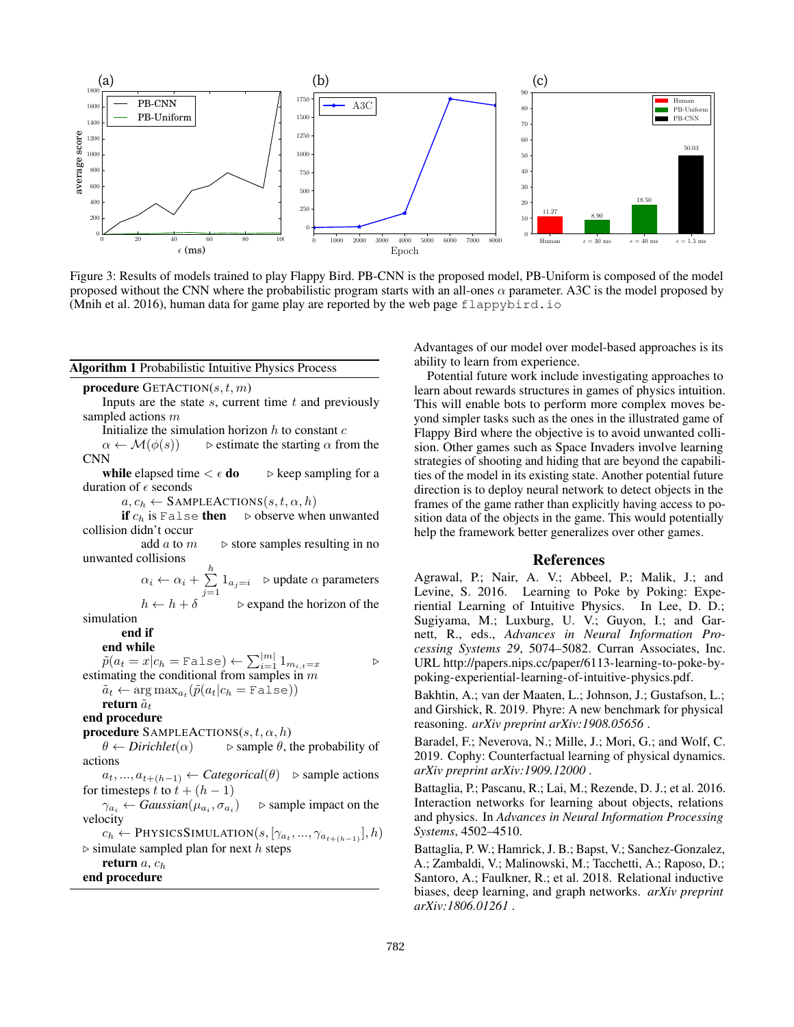

Figure 3: Results of models trained to play Flappy Bird. PB-CNN is the proposed model, PB-Uniform is composed of the model proposed without the CNN where the probabilistic program starts with an all-ones  $\alpha$  parameter. A3C is the model proposed by (Mnih et al. 2016), human data for game play are reported by the web page flappybird. io

#### Algorithm 1 Probabilistic Intuitive Physics Process

procedure GETACTION $(s, t, m)$ 

Inputs are the state  $s$ , current time  $t$  and previously sampled actions m

Initialize the simulation horizon  $h$  to constant  $c$ 

 $\alpha \leftarrow \mathcal{M}(\phi(s))$  bestimate the starting  $\alpha$  from the CNN

while elapsed time  $\langle \epsilon \, \mathbf{do} \rangle$  be keep sampling for a duration of  $\epsilon$  seconds

 $a, c_h \leftarrow$  SAMPLEACTIONS $(s, t, \alpha, h)$ <br>if  $c_h$  is False **then**  $\triangleright$  observe whe

 $\triangleright$  observe when unwanted collision didn't occur

add  $a$  to  $m \rightharpoonup$  store samples resulting in no unwanted collisions

> $\alpha_i \leftarrow \alpha_i + \sum_{i=1}^h$  $\sum_{j=1} 1_{a_j=i}$   $\triangleright$  update  $\alpha$  parameters  $h \leftarrow h + \delta$  .  $\triangleright$  expand the horizon of the

simulation

end if

## end while

 $\tilde{p}(a_t = x | c_h = \text{False}) \leftarrow \sum_{i=1}^{|m|} 1_{m_{i,t}=x}$ estimating the conditional from samples in  $m$ 

 $\tilde{a}_t \leftarrow \argmax_{a_t} (\tilde{p}(a_t | c_h = \texttt{False}))$ 

# return  $\tilde{a}_t$

end procedure

**procedure** SAMPLEACTIONS $(s, t, \alpha, h)$ 

 $\theta \leftarrow Dirichlet(\alpha)$   $\Rightarrow$  sample  $\theta$ , the probability of actions

 $a_t, ..., a_{t+(h-1)} \leftarrow Categorical(\theta)$   $\triangleright$  sample actions for timesteps t to  $t + (h - 1)$ 

 $\gamma_{a_i} \leftarrow Gaussian(\mu_{a_i}, \sigma_{a_i})$  $\triangleright$  sample impact on the velocity

 $c_h \leftarrow$  PhysicsSimulation $(s, [\gamma_{a_t}, ..., \gamma_{a_{t+(h-1)}}], h)$  $\triangleright$  simulate sampled plan for next h steps

return  $a, c_h$ 

end procedure

Advantages of our model over model-based approaches is its ability to learn from experience.

Potential future work include investigating approaches to learn about rewards structures in games of physics intuition. This will enable bots to perform more complex moves beyond simpler tasks such as the ones in the illustrated game of Flappy Bird where the objective is to avoid unwanted collision. Other games such as Space Invaders involve learning strategies of shooting and hiding that are beyond the capabilities of the model in its existing state. Another potential future direction is to deploy neural network to detect objects in the frames of the game rather than explicitly having access to position data of the objects in the game. This would potentially help the framework better generalizes over other games.

### References

Agrawal, P.; Nair, A. V.; Abbeel, P.; Malik, J.; and Levine, S. 2016. Learning to Poke by Poking: Experiential Learning of Intuitive Physics. In Lee, D. D.; Sugiyama, M.; Luxburg, U. V.; Guyon, I.; and Garnett, R., eds., *Advances in Neural Information Processing Systems 29*, 5074–5082. Curran Associates, Inc. URL http://papers.nips.cc/paper/6113-learning-to-poke-bypoking-experiential-learning-of-intuitive-physics.pdf.

Bakhtin, A.; van der Maaten, L.; Johnson, J.; Gustafson, L.; and Girshick, R. 2019. Phyre: A new benchmark for physical reasoning. *arXiv preprint arXiv:1908.05656* .

Baradel, F.; Neverova, N.; Mille, J.; Mori, G.; and Wolf, C. 2019. Cophy: Counterfactual learning of physical dynamics. *arXiv preprint arXiv:1909.12000* .

Battaglia, P.; Pascanu, R.; Lai, M.; Rezende, D. J.; et al. 2016. Interaction networks for learning about objects, relations and physics. In *Advances in Neural Information Processing Systems*, 4502–4510.

Battaglia, P. W.; Hamrick, J. B.; Bapst, V.; Sanchez-Gonzalez, A.; Zambaldi, V.; Malinowski, M.; Tacchetti, A.; Raposo, D.; Santoro, A.; Faulkner, R.; et al. 2018. Relational inductive biases, deep learning, and graph networks. *arXiv preprint arXiv:1806.01261* .